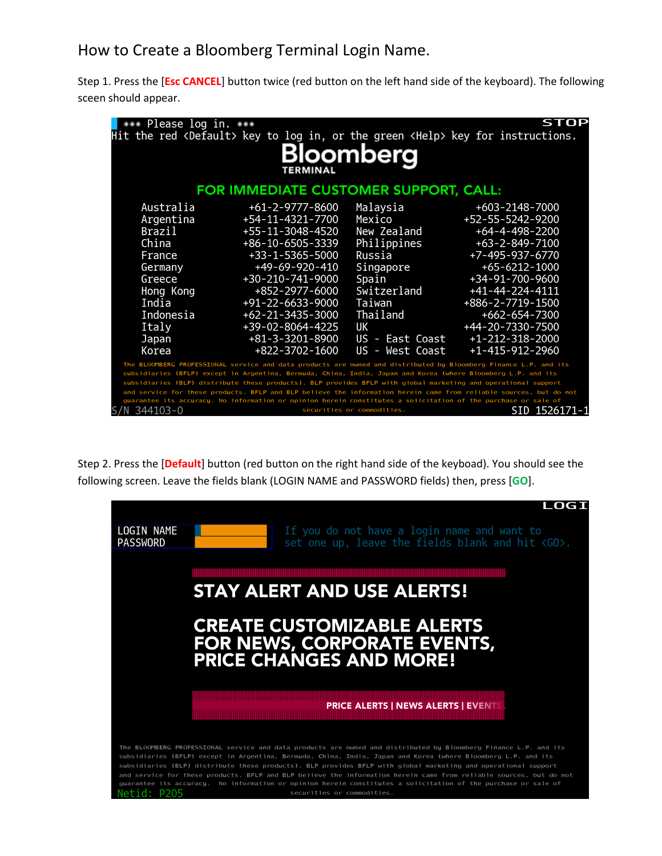## How to Create a Bloomberg Terminal Login Name.

Step 1. Press the [**Esc CANCEL**] button twice (red button on the left hand side of the keyboard). The following sceen should appear.

| *** Please log in. ***                                                                                                                                                                                                               |                                                                                                 |                            | STOP                    |  |  |
|--------------------------------------------------------------------------------------------------------------------------------------------------------------------------------------------------------------------------------------|-------------------------------------------------------------------------------------------------|----------------------------|-------------------------|--|--|
|                                                                                                                                                                                                                                      | Hit the red <default> key to log in, or the green <help> key for instructions.</help></default> |                            |                         |  |  |
|                                                                                                                                                                                                                                      |                                                                                                 |                            |                         |  |  |
|                                                                                                                                                                                                                                      |                                                                                                 | Bloomberg                  |                         |  |  |
|                                                                                                                                                                                                                                      | <b>TERMINAL</b>                                                                                 |                            |                         |  |  |
| FOR IMMEDIATE CUSTOMER SUPPORT, CALL:                                                                                                                                                                                                |                                                                                                 |                            |                         |  |  |
| Australia                                                                                                                                                                                                                            | $+61 - 2 - 9777 - 8600$                                                                         | Malaysia                   | $+603 - 2148 - 7000$    |  |  |
| Argentina                                                                                                                                                                                                                            | +54-11-4321-7700                                                                                | Mexico                     | +52-55-5242-9200        |  |  |
| Brazil                                                                                                                                                                                                                               | +55-11-3048-4520                                                                                | New Zealand                | $+64 - 4 - 498 - 2200$  |  |  |
| China                                                                                                                                                                                                                                | +86-10-6505-3339                                                                                | Philippines                | $+63 - 2 - 849 - 7100$  |  |  |
| France                                                                                                                                                                                                                               | $+33 - 1 - 5365 - 5000$                                                                         | Russia                     | +7-495-937-6770         |  |  |
| Germany                                                                                                                                                                                                                              | $+49-69-920-410$                                                                                | Singapore                  | $+65-6212-1000$         |  |  |
| Greece                                                                                                                                                                                                                               | +30-210-741-9000                                                                                | Spain                      | +34-91-700-9600         |  |  |
| Hong Kong                                                                                                                                                                                                                            | +852-2977-6000                                                                                  | Switzerland                | $+41-44-224-4111$       |  |  |
| India                                                                                                                                                                                                                                | $+91-22-6633-9000$                                                                              | Taiwan                     | +886-2-7719-1500        |  |  |
| Indonesia                                                                                                                                                                                                                            | $+62 - 21 - 3435 - 3000$                                                                        | Thailand                   | +662-654-7300           |  |  |
| Italy                                                                                                                                                                                                                                | +39-02-8064-4225                                                                                | UК                         | +44-20-7330-7500        |  |  |
| Japan                                                                                                                                                                                                                                | $+81-3-3201-8900$                                                                               | US - East Coast            | $+1 - 212 - 318 - 2000$ |  |  |
| Korea                                                                                                                                                                                                                                | $+822 - 3702 - 1600$                                                                            | US - West Coast            | $+1 - 415 - 912 - 2960$ |  |  |
| The BLOOMBERG PROFESSIONAL service and data products are owned and distributed by Bloomberg Finance L.P. and its                                                                                                                     |                                                                                                 |                            |                         |  |  |
| subsidiaries (BFLP) except in Argentina, Bermuda, China, India, Japan and Korea (where Bloomberg L.P. and its                                                                                                                        |                                                                                                 |                            |                         |  |  |
| subsidiaries (BLP) distribute these products). BLP provides BFLP with global marketing and operational support<br>and service for these products. BFLP and BLP believe the information herein came from reliable sources, but do not |                                                                                                 |                            |                         |  |  |
| guarantee its accuracy. No information or opinion herein constitutes a solicitation of the purchase or sale of                                                                                                                       |                                                                                                 |                            |                         |  |  |
| 344103-0                                                                                                                                                                                                                             |                                                                                                 | securities or commodities. | SID 152617 <u>1-1</u>   |  |  |

Step 2. Press the [**Default**] button (red button on the right hand side of the keyboad). You should see the following screen. Leave the fields blank (LOGIN NAME and PASSWORD fields) then, press [**GO**].

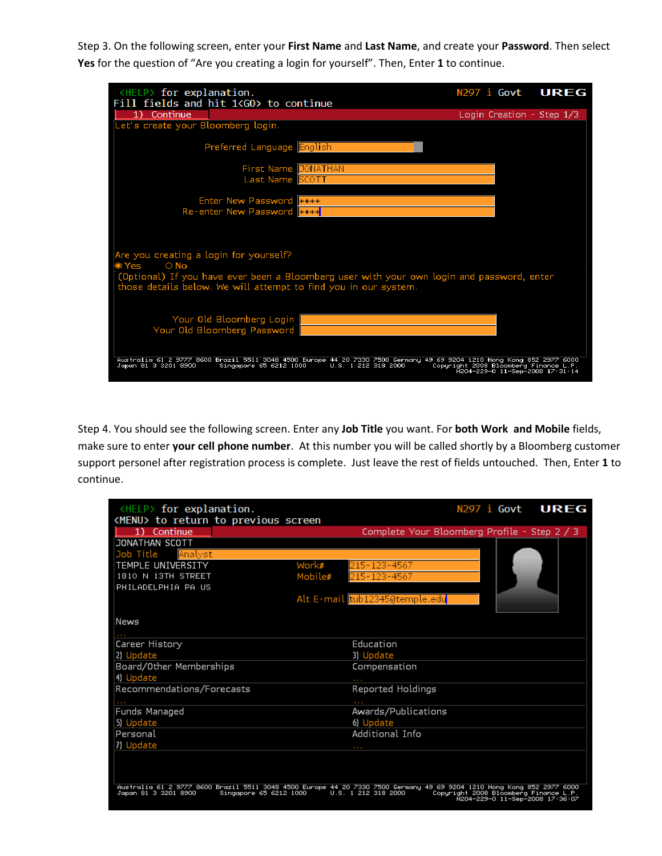Step 3. On the following screen, enter your **First Name** and **Last Name**, and create your **Password**. Then select **Yes** for the question of "Are you creating a login for yourself". Then, Enter **1** to continue.

| <help> for explanation.</help>                                                                                        | N297 i Govt UREG                                                         |  |
|-----------------------------------------------------------------------------------------------------------------------|--------------------------------------------------------------------------|--|
| Fill fields and hit 1 <go> to continue</go>                                                                           |                                                                          |  |
| 1) Continue                                                                                                           | Login Creation - Step 1/3                                                |  |
| Let's create your Bloomberg login.                                                                                    |                                                                          |  |
|                                                                                                                       |                                                                          |  |
| Preferred Language English                                                                                            |                                                                          |  |
|                                                                                                                       |                                                                          |  |
| First Name JONATHAN                                                                                                   |                                                                          |  |
| Last Name SCOTT                                                                                                       |                                                                          |  |
|                                                                                                                       |                                                                          |  |
| <b>Enter New Password</b> Figure                                                                                      |                                                                          |  |
| Re-enter New Password                                                                                                 |                                                                          |  |
|                                                                                                                       |                                                                          |  |
|                                                                                                                       |                                                                          |  |
|                                                                                                                       |                                                                          |  |
| Are you creating a login for yourself?                                                                                |                                                                          |  |
| $\bigcirc$ No<br>⊛ Yes                                                                                                |                                                                          |  |
| (Optional) If you have ever been a Bloomberg user with your own login and password, enter                             |                                                                          |  |
| those details below. We will attempt to find you in our system.                                                       |                                                                          |  |
|                                                                                                                       |                                                                          |  |
|                                                                                                                       |                                                                          |  |
| Your Old Bloomberg Login                                                                                              |                                                                          |  |
| Your Old Bloomberg Password                                                                                           |                                                                          |  |
|                                                                                                                       |                                                                          |  |
|                                                                                                                       |                                                                          |  |
| Australia 61 2 9777 8600 Brazil 5511 3048 4500 Europe 44 20 7330 7500 Germany 49 69 9204 1210 Hong Kong 852 2977 6000 |                                                                          |  |
| Japan 81 3 3201 8900<br>Singapore 65 6212 1000<br>U.S. 1 212 318 2000                                                 | Copyright 2008 Bloomberg Finance L.P.<br>H204-229-0 11-Sep-2008 17:31:14 |  |
|                                                                                                                       |                                                                          |  |

Step 4. You should see the following screen. Enter any **Job Title** you want. For **both Work and Mobile** fields, make sure to enter **your cell phone number**. At this number you will be called shortly by a Bloomberg customer support personel after registration process is complete. Just leave the rest of fields untouched. Then, Enter **1** to continue.

| <help> for explanation.</help>                             | N297 i <b>Govt</b><br><b>UREG</b>                                                                                                                                                                                        |
|------------------------------------------------------------|--------------------------------------------------------------------------------------------------------------------------------------------------------------------------------------------------------------------------|
| <menu> to return to previous screen<br/>1) Continue</menu> | Complete Your Bloomberg Profile - Step 2 / 3                                                                                                                                                                             |
| JONATHAN SCOTT                                             |                                                                                                                                                                                                                          |
| Job Title<br>Analyst                                       |                                                                                                                                                                                                                          |
| TEMPLE UNIVERSITY<br>Work#                                 | 215-123-4567                                                                                                                                                                                                             |
| 1810 N 13TH STREET<br>Mobile#                              | 215-123-4567                                                                                                                                                                                                             |
| PHILADELPHIA PA US                                         |                                                                                                                                                                                                                          |
|                                                            | Alt E-mail tub12345@temple.edu                                                                                                                                                                                           |
| News                                                       |                                                                                                                                                                                                                          |
|                                                            |                                                                                                                                                                                                                          |
| Career History                                             | Education                                                                                                                                                                                                                |
| 2) Update                                                  | 3) Update                                                                                                                                                                                                                |
| Board/Other Memberships                                    | Compensation                                                                                                                                                                                                             |
| 4) Update                                                  | $\sim$ 10 $\pm$                                                                                                                                                                                                          |
| Recommendations/Forecasts                                  | Reported Holdings                                                                                                                                                                                                        |
| <b>STATE</b>                                               | 1000                                                                                                                                                                                                                     |
| Funds Managed                                              | Awards/Publications                                                                                                                                                                                                      |
| 5) Update                                                  | 6) Update                                                                                                                                                                                                                |
| Personal                                                   | Additional Info                                                                                                                                                                                                          |
| 7) Update                                                  | 1.11                                                                                                                                                                                                                     |
| Japan 81 3 3201 8900<br>Singapore 65 6212 1000             | Australia 61 2 9777 8600 Brazil 5511 3048 4500 Europe 44 20 7330 7500 Germany 49 69 9204 1210 Hong Kong 852 2977 6000<br>U.S. 1 212 318 2000<br>Copyright 2008 Bloomberg Finance L.P.<br>H204-229-0 11-Sep-2008 17:36:07 |
|                                                            |                                                                                                                                                                                                                          |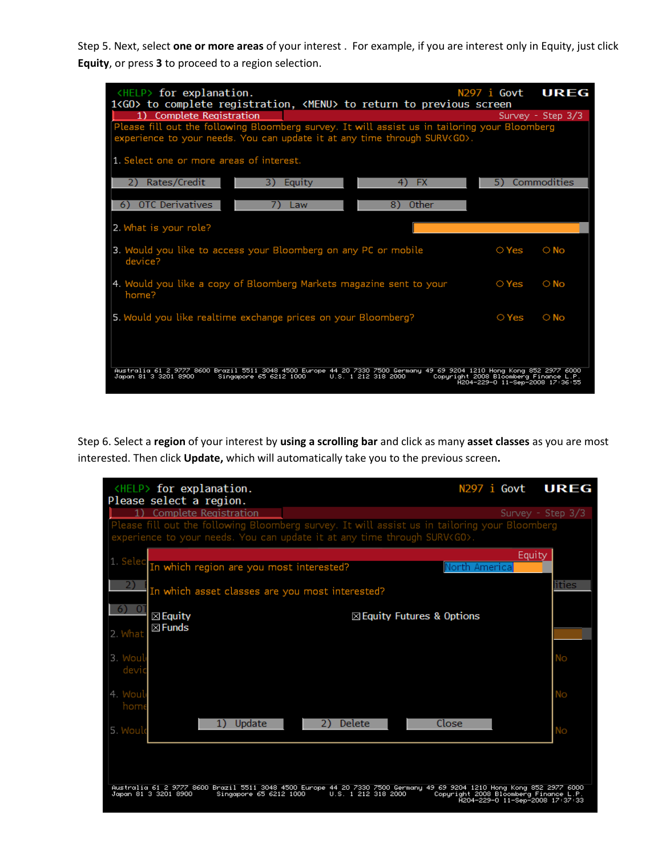Step 5. Next, select **one or more areas** of your interest . For example, if you are interest only in Equity, just click **Equity**, or press **3** to proceed to a region selection.

| $HELP$ for explanation.<br>1 <go> to complete registration, <menu> to return to previous screen<br/><b>Complete Registration</b><br/>Please fill out the following Bloomberg survey. It will assist us in tailoring your Bloomberg<br/>experience to your needs. You can update it at any time through SURV<go>.</go></menu></go> |                                 | N297 i Govt UREG<br>Survey - Step 3/3 |
|-----------------------------------------------------------------------------------------------------------------------------------------------------------------------------------------------------------------------------------------------------------------------------------------------------------------------------------|---------------------------------|---------------------------------------|
| 1. Select one or more areas of interest.<br>Rates/Credit<br><b>FX</b><br>2)<br>3)<br>Equity<br>4)                                                                                                                                                                                                                                 | 5)                              | Commodities                           |
| OTC Derivatives<br>Other<br>8)<br>6)<br>Law                                                                                                                                                                                                                                                                                       |                                 |                                       |
| 2. What is your role?                                                                                                                                                                                                                                                                                                             |                                 |                                       |
| 3. Would you like to access your Bloomberg on any PC or mobile<br>device?                                                                                                                                                                                                                                                         | ○ Yes                           | $\circ$ No                            |
| 4. Would you like a copy of Bloomberg Markets magazine sent to your<br>home?                                                                                                                                                                                                                                                      | $\circ$ Yes                     | $\circ$ No                            |
| 5. Would you like realtime exchange prices on your Bloomberg?                                                                                                                                                                                                                                                                     | $\circ$ Yes                     | $\circ$ No                            |
| Australia 61 2 9777 8600 Brazil 5511 3048 4500 Europe 44 20 7330 7500 Germany 49 69 9204 1210 Hong Kong 852 2977 6000<br>Japan 81 3 3201 8900<br>Singapore 65 6212 1000<br>U.S. 1 212 318 2000<br>Copyright 2008 Bloomberg Finance L.P.                                                                                           | H204-229-0 11-Sep-2008 17:36:55 |                                       |

Step 6. Select a **region** of your interest by **using a scrolling bar** and click as many **asset classes** as you are most interested. Then click **Update,** which will automatically take you to the previous screen**.**

| <help> for explanation.<br/>Please select a region.</help>                                                                                                                       |                                      | N297 i Govt UREG                                                         |                   |
|----------------------------------------------------------------------------------------------------------------------------------------------------------------------------------|--------------------------------------|--------------------------------------------------------------------------|-------------------|
| <b>Complete Registration</b>                                                                                                                                                     |                                      |                                                                          | Survey - Step 3/3 |
| Please fill out the following Bloomberg survey. It will assist us in tailoring your Bloomberg<br>experience to your needs. You can update it at any time through SURV <go>.</go> |                                      |                                                                          |                   |
| 1. Selec<br>In which region are you most interested?                                                                                                                             |                                      | Equity<br>North America                                                  |                   |
| In which asset classes are you most interested?                                                                                                                                  |                                      |                                                                          | lities            |
| $\boxtimes$ Equity<br>$\boxtimes$ Funds                                                                                                                                          | $\boxtimes$ Equity Futures & Options |                                                                          |                   |
| 2. What                                                                                                                                                                          |                                      |                                                                          |                   |
| 3. Woul<br>devic                                                                                                                                                                 |                                      |                                                                          | Nο                |
| 4. Woul<br>home                                                                                                                                                                  |                                      |                                                                          | Nο                |
| Update<br>1)<br>5. Would                                                                                                                                                         | <b>Delete</b><br>2)                  | Close                                                                    | Nο                |
|                                                                                                                                                                                  |                                      |                                                                          |                   |
| Australia 61 2 9777 8600 Brazil 5511 3048 4500 Europe 44 20 7330 7500 Germany 49 69 9204 1210 Hong Kong 852 2977 6000<br>Japan 81 3 3201 8900<br>Singapore 65 6212 1000          | U.S. 1 212 318 2000                  | Copyright 2008 Bloomberg Finance L.P.<br>H204-229-0 11-Sep-2008 17:37:33 |                   |
|                                                                                                                                                                                  |                                      |                                                                          |                   |